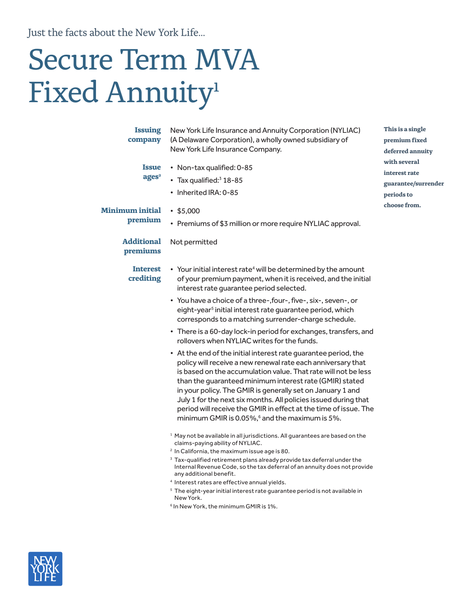Just the facts about the New York Life...

# Secure Term MVA Fixed Annuity<sup>1</sup>

| <b>Issuing</b><br>company<br><b>Issue</b><br>ages <sup>2</sup> | New York Life Insurance and Annuity Corporation (NYLIAC)<br>(A Delaware Corporation), a wholly owned subsidiary of<br>New York Life Insurance Company.<br>• Non-tax qualified: 0-85<br>• Tax qualified: $3$ 18-85<br>• Inherited IRA: 0-85                                                                                                                                                                                                                                                                                                                                                                                                                                                                                                                                                                                                                                                                                                                                                                                                                                                                                                                                                                                                                                                                                                                                                                                                                                                                                                                                                                                                                         | This is a single<br>premium fixed<br>deferred annuity<br>with several<br>interest rate<br>guarantee/surrender<br>periods to<br>choose from. |  |
|----------------------------------------------------------------|--------------------------------------------------------------------------------------------------------------------------------------------------------------------------------------------------------------------------------------------------------------------------------------------------------------------------------------------------------------------------------------------------------------------------------------------------------------------------------------------------------------------------------------------------------------------------------------------------------------------------------------------------------------------------------------------------------------------------------------------------------------------------------------------------------------------------------------------------------------------------------------------------------------------------------------------------------------------------------------------------------------------------------------------------------------------------------------------------------------------------------------------------------------------------------------------------------------------------------------------------------------------------------------------------------------------------------------------------------------------------------------------------------------------------------------------------------------------------------------------------------------------------------------------------------------------------------------------------------------------------------------------------------------------|---------------------------------------------------------------------------------------------------------------------------------------------|--|
| <b>Minimum initial</b><br>premium                              | •\$5,000<br>• Premiums of \$3 million or more require NYLIAC approval.                                                                                                                                                                                                                                                                                                                                                                                                                                                                                                                                                                                                                                                                                                                                                                                                                                                                                                                                                                                                                                                                                                                                                                                                                                                                                                                                                                                                                                                                                                                                                                                             |                                                                                                                                             |  |
| <b>Additional</b><br>premiums                                  | Not permitted                                                                                                                                                                                                                                                                                                                                                                                                                                                                                                                                                                                                                                                                                                                                                                                                                                                                                                                                                                                                                                                                                                                                                                                                                                                                                                                                                                                                                                                                                                                                                                                                                                                      |                                                                                                                                             |  |
| <b>Interest</b><br>crediting                                   | • Your initial interest rate <sup>4</sup> will be determined by the amount<br>of your premium payment, when it is received, and the initial<br>interest rate quarantee period selected.<br>• You have a choice of a three-, four-, five-, six-, seven-, or<br>eight-year <sup>5</sup> initial interest rate guarantee period, which<br>corresponds to a matching surrender-charge schedule.<br>• There is a 60-day lock-in period for exchanges, transfers, and<br>rollovers when NYLIAC writes for the funds.<br>• At the end of the initial interest rate guarantee period, the<br>policy will receive a new renewal rate each anniversary that<br>is based on the accumulation value. That rate will not be less<br>than the quaranteed minimum interest rate (GMIR) stated<br>in your policy. The GMIR is generally set on January 1 and<br>July 1 for the next six months. All policies issued during that<br>period will receive the GMIR in effect at the time of issue. The<br>minimum GMIR is 0.05%, <sup>6</sup> and the maximum is 5%.<br><sup>1</sup> May not be available in all jurisdictions. All guarantees are based on the<br>claims-paying ability of NYLIAC.<br><sup>2</sup> In California, the maximum issue age is 80.<br><sup>3</sup> Tax-qualified retirement plans already provide tax deferral under the<br>Internal Revenue Code, so the tax deferral of an annuity does not provide<br>any additional benefit.<br><sup>4</sup> Interest rates are effective annual yields.<br><sup>5</sup> The eight-year initial interest rate guarantee period is not available in<br>New York.<br><sup>6</sup> In New York, the minimum GMIR is 1%. |                                                                                                                                             |  |

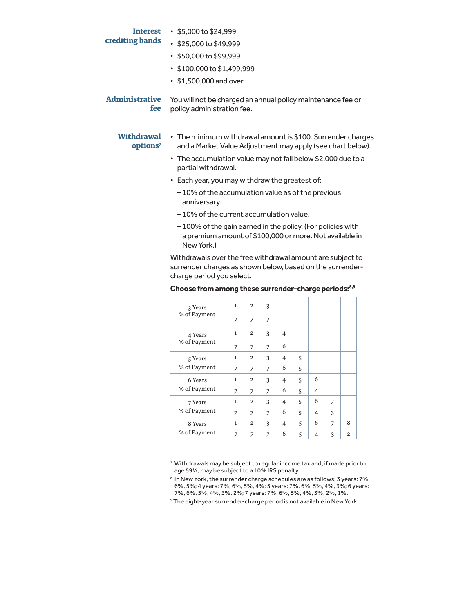## **crediting bands**

- **Interest**  \$5,000 to \$24,999
	- \$25,000 to \$49,999
	- \$50,000 to \$99,999
	- \$100,000 to \$1,499,999
	- \$1,500,000 and over

#### **Withdrawal options7**

- The minimum withdrawal amount is \$100. Surrender charges and a Market Value Adjustment may apply (see chart below).
	- The accumulation value may not fall below \$2,000 due to a partial withdrawal.
	- Each year, you may withdraw the greatest of:
		- 10% of the accumulation value as of the previous anniversary.
		- 10% of the current accumulation value.
		- 100% of the gain earned in the policy. (For policies with a premium amount of \$100,000 or more. Not available in New York.)

Withdrawals over the free withdrawal amount are subject to surrender charges as shown below, based on the surrendercharge period you select.

| 3 Years                 | $\mathbf{1}$ | $\overline{2}$ | 3              |                |   |   |                |                |
|-------------------------|--------------|----------------|----------------|----------------|---|---|----------------|----------------|
| % of Payment            | 7            | 7              | $\overline{z}$ |                |   |   |                |                |
| 4 Years<br>% of Payment | 1            | $\overline{2}$ | 3              | 4              |   |   |                |                |
|                         | 7            | 7              | $\overline{7}$ | 6              |   |   |                |                |
| 5 Years                 | $\mathbf{1}$ | $\overline{2}$ | 3              | 4              | 5 |   |                |                |
| % of Payment            | 7            | 7              | 7              | 6              | 5 |   |                |                |
| 6 Years                 | 1            | $\overline{2}$ | 3              | 4              | 5 | 6 |                |                |
| % of Payment            | 7            | $\overline{z}$ | 7              | 6              | 5 | 4 |                |                |
| 7 Years                 | 1            | $\overline{2}$ | 3              | 4              | 5 | 6 | $\overline{z}$ |                |
| % of Payment            | 7            | 7              | 7              | 6              | 5 | 4 | 3              |                |
| 8 Years                 | 1            | $\overline{2}$ | 3              | $\overline{4}$ | 5 | 6 | $\overline{z}$ | 8              |
| % of Payment            | 7            | $\overline{z}$ | $\overline{7}$ | 6              | 5 | 4 | 3              | $\overline{2}$ |

#### **Choose from among these surrender-charge periods:8,9**

<sup>7</sup> Withdrawals may be subject to regular income tax and, if made prior to age 59½, may be subject to a 10% IRS penalty.

8 In New York, the surrender charge schedules are as follows: 3 years: 7%, 6%, 5%; 4 years: 7%, 6%, 5%, 4%; 5 years: 7%, 6%, 5%, 4%, 3%; 6 years: 7%, 6%, 5%, 4%, 3%, 2%; 7 years: 7%, 6%, 5%, 4%, 3%, 2%, 1%.

<sup>9</sup> The eight-year surrender-charge period is not available in New York.

**Administrative fee** You will not be charged an annual policy maintenance fee or policy administration fee.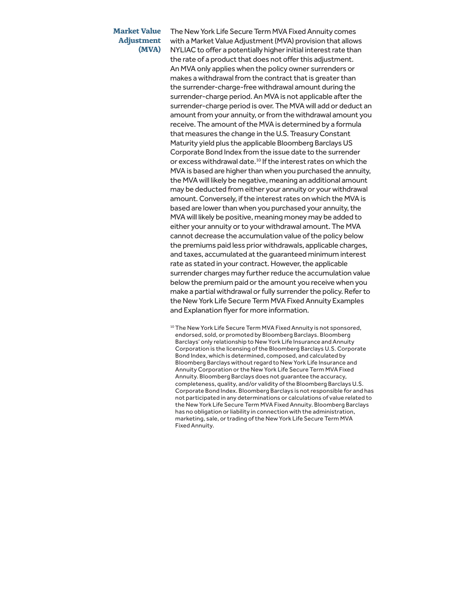## **Market Value Adjustment (MVA)**

The New York Life Secure Term MVA Fixed Annuity comes with a Market Value Adjustment (MVA) provision that allows NYLIAC to offer a potentially higher initial interest rate than the rate of a product that does not offer this adjustment. An MVA only applies when the policy owner surrenders or makes a withdrawal from the contract that is greater than the surrender-charge-free withdrawal amount during the surrender-charge period. An MVA is not applicable after the surrender-charge period is over. The MVA will add or deduct an amount from your annuity, or from the withdrawal amount you receive. The amount of the MVA is determined by a formula that measures the change in the U.S. Treasury Constant Maturity yield plus the applicable Bloomberg Barclays US Corporate Bond Index from the issue date to the surrender or excess withdrawal date.<sup>10</sup> If the interest rates on which the MVA is based are higher than when you purchased the annuity, the MVA will likely be negative, meaning an additional amount may be deducted from either your annuity or your withdrawal amount. Conversely, if the interest rates on which the MVA is based are lower than when you purchased your annuity, the MVA will likely be positive, meaning money may be added to either your annuity or to your withdrawal amount. The MVA cannot decrease the accumulation value of the policy below the premiums paid less prior withdrawals, applicable charges, and taxes, accumulated at the guaranteed minimum interest rate as stated in your contract. However, the applicable surrender charges may further reduce the accumulation value below the premium paid or the amount you receive when you make a partial withdrawal or fully surrender the policy. Refer to the New York Life Secure Term MVA Fixed Annuity Examples and Explanation flyer for more information.

<sup>10</sup> The New York Life Secure Term MVA Fixed Annuity is not sponsored, endorsed, sold, or promoted by Bloomberg Barclays. Bloomberg Barclays' only relationship to New York Life Insurance and Annuity Corporation is the licensing of the Bloomberg Barclays U.S. Corporate Bond Index, which is determined, composed, and calculated by Bloomberg Barclays without regard to New York Life Insurance and Annuity Corporation or the New York Life Secure Term MVA Fixed Annuity. Bloomberg Barclays does not guarantee the accuracy, completeness, quality, and/or validity of the Bloomberg Barclays U.S. Corporate Bond Index. Bloomberg Barclays is not responsible for and has not participated in any determinations or calculations of value related to the New York Life Secure Term MVA Fixed Annuity. Bloomberg Barclays has no obligation or liability in connection with the administration, marketing, sale, or trading of the New York Life Secure Term MVA Fixed Annuity.